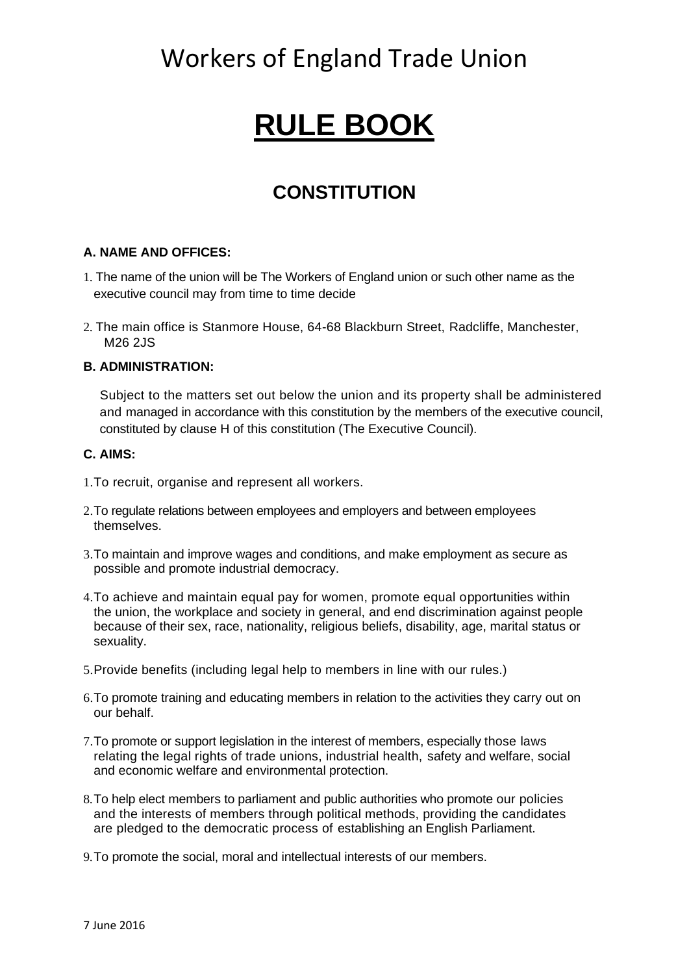## Workers of England Trade Union

# **RULE BOOK**

## **CONSTITUTION**

#### **A. NAME AND OFFICES:**

- 1. The name of the union will be The Workers of England union or such other name as the executive council may from time to time decide
- 2. The main office is Stanmore House, 64-68 Blackburn Street, Radcliffe, Manchester, M26 2JS

#### **B. ADMINISTRATION:**

Subject to the matters set out below the union and its property shall be administered and managed in accordance with this constitution by the members of the executive council, constituted by clause H of this constitution (The Executive Council).

#### **C. AIMS:**

- 1.To recruit, organise and represent all workers.
- 2.To regulate relations between employees and employers and between employees themselves.
- 3.To maintain and improve wages and conditions, and make employment as secure as possible and promote industrial democracy.
- 4.To achieve and maintain equal pay for women, promote equal opportunities within the union, the workplace and society in general, and end discrimination against people because of their sex, race, nationality, religious beliefs, disability, age, marital status or sexuality.
- 5.Provide benefits (including legal help to members in line with our rules.)
- 6.To promote training and educating members in relation to the activities they carry out on our behalf.
- 7.To promote or support legislation in the interest of members, especially those laws relating the legal rights of trade unions, industrial health, safety and welfare, social and economic welfare and environmental protection.
- 8.To help elect members to parliament and public authorities who promote our policies and the interests of members through political methods, providing the candidates are pledged to the democratic process of establishing an English Parliament.
- 9.To promote the social, moral and intellectual interests of our members.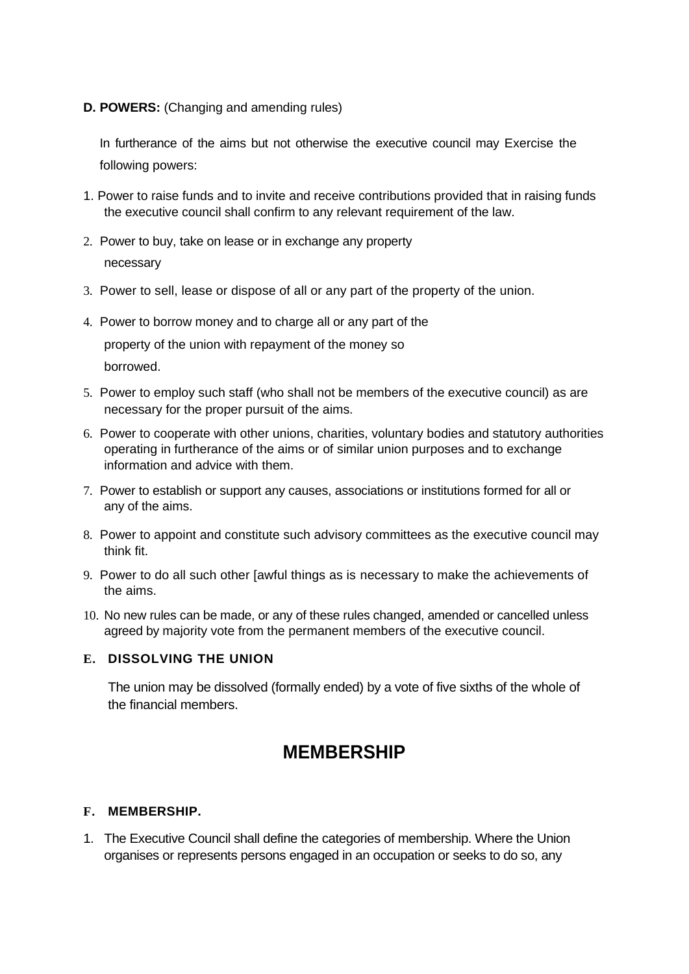#### **D. POWERS:** (Changing and amending rules)

In furtherance of the aims but not otherwise the executive council may Exercise the following powers:

- 1. Power to raise funds and to invite and receive contributions provided that in raising funds the executive council shall confirm to any relevant requirement of the law.
- 2. Power to buy, take on lease or in exchange any property necessary
- 3. Power to sell, lease or dispose of all or any part of the property of the union.
- 4. Power to borrow money and to charge all or any part of the property of the union with repayment of the money so borrowed.
- 5. Power to employ such staff (who shall not be members of the executive council) as are necessary for the proper pursuit of the aims.
- 6. Power to cooperate with other unions, charities, voluntary bodies and statutory authorities operating in furtherance of the aims or of similar union purposes and to exchange information and advice with them.
- 7. Power to establish or support any causes, associations or institutions formed for all or any of the aims.
- 8. Power to appoint and constitute such advisory committees as the executive council may think fit.
- 9. Power to do all such other [awful things as is necessary to make the achievements of the aims.
- 10. No new rules can be made, or any of these rules changed, amended or cancelled unless agreed by majority vote from the permanent members of the executive council.

#### **E. DISSOLVING THE UNION**

The union may be dissolved (formally ended) by a vote of five sixths of the whole of the financial members.

### **MEMBERSHIP**

#### **F. MEMBERSHIP.**

1. The Executive Council shall define the categories of membership. Where the Union organises or represents persons engaged in an occupation or seeks to do so, any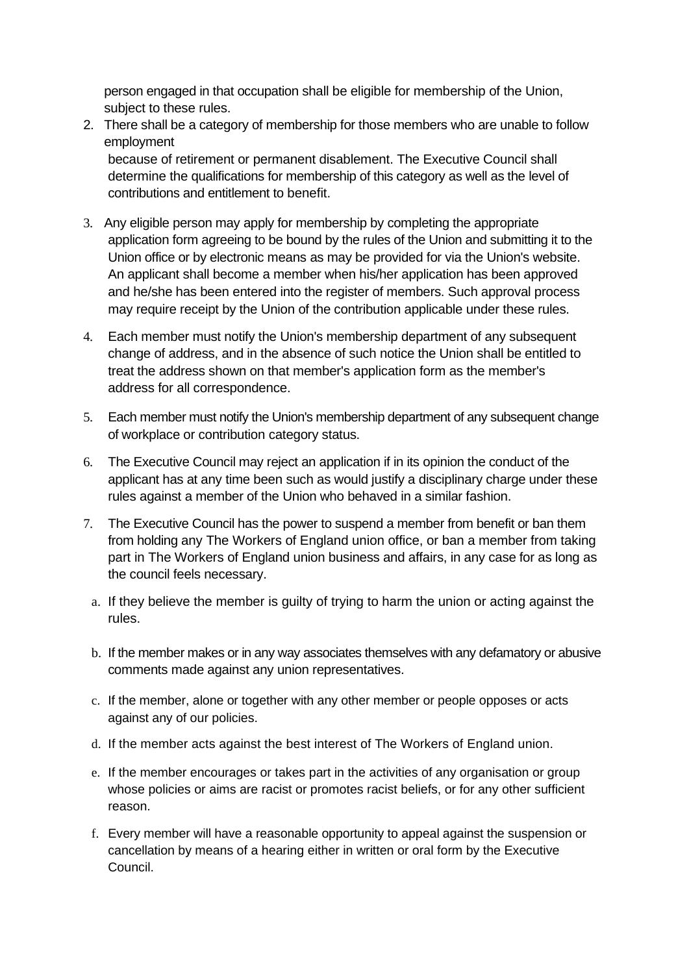person engaged in that occupation shall be eligible for membership of the Union, subject to these rules.

2. There shall be a category of membership for those members who are unable to follow employment

because of retirement or permanent disablement. The Executive Council shall determine the qualifications for membership of this category as well as the level of contributions and entitlement to benefit.

- 3. Any eligible person may apply for membership by completing the appropriate application form agreeing to be bound by the rules of the Union and submitting it to the Union office or by electronic means as may be provided for via the Union's website. An applicant shall become a member when his/her application has been approved and he/she has been entered into the register of members. Such approval process may require receipt by the Union of the contribution applicable under these rules.
- 4. Each member must notify the Union's membership department of any subsequent change of address, and in the absence of such notice the Union shall be entitled to treat the address shown on that member's application form as the member's address for all correspondence.
- 5. Each member must notify the Union's membership department of any subsequent change of workplace or contribution category status.
- 6. The Executive Council may reject an application if in its opinion the conduct of the applicant has at any time been such as would justify a disciplinary charge under these rules against a member of the Union who behaved in a similar fashion.
- 7. The Executive Council has the power to suspend a member from benefit or ban them from holding any The Workers of England union office, or ban a member from taking part in The Workers of England union business and affairs, in any case for as long as the council feels necessary.
	- a. If they believe the member is guilty of trying to harm the union or acting against the rules.
	- b. If the member makes or in any way associates themselves with any defamatory or abusive comments made against any union representatives.
	- c. If the member, alone or together with any other member or people opposes or acts against any of our policies.
	- d. If the member acts against the best interest of The Workers of England union.
	- e. If the member encourages or takes part in the activities of any organisation or group whose policies or aims are racist or promotes racist beliefs, or for any other sufficient reason.
	- f. Every member will have a reasonable opportunity to appeal against the suspension or cancellation by means of a hearing either in written or oral form by the Executive Council.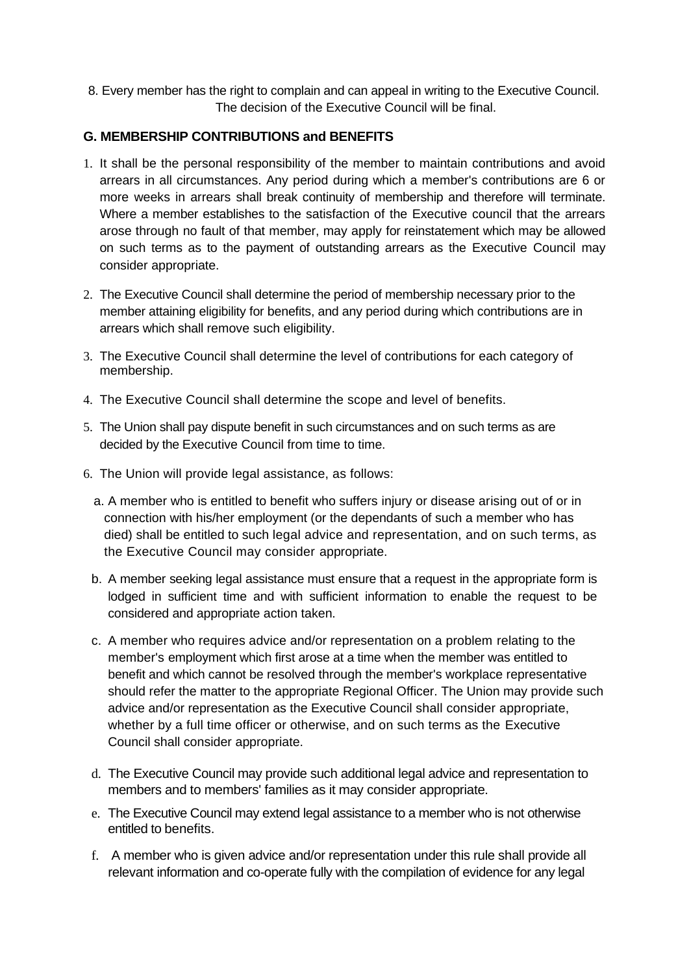8. Every member has the right to complain and can appeal in writing to the Executive Council. The decision of the Executive Council will be final.

#### **G. MEMBERSHIP CONTRIBUTIONS and BENEFITS**

- 1. It shall be the personal responsibility of the member to maintain contributions and avoid arrears in all circumstances. Any period during which a member's contributions are 6 or more weeks in arrears shall break continuity of membership and therefore will terminate. Where a member establishes to the satisfaction of the Executive council that the arrears arose through no fault of that member, may apply for reinstatement which may be allowed on such terms as to the payment of outstanding arrears as the Executive Council may consider appropriate.
- 2. The Executive Council shall determine the period of membership necessary prior to the member attaining eligibility for benefits, and any period during which contributions are in arrears which shall remove such eligibility.
- 3. The Executive Council shall determine the level of contributions for each category of membership.
- 4. The Executive Council shall determine the scope and level of benefits.
- 5. The Union shall pay dispute benefit in such circumstances and on such terms as are decided by the Executive Council from time to time.
- 6. The Union will provide legal assistance, as follows:
	- a. A member who is entitled to benefit who suffers injury or disease arising out of or in connection with his/her employment (or the dependants of such a member who has died) shall be entitled to such legal advice and representation, and on such terms, as the Executive Council may consider appropriate.
	- b. A member seeking legal assistance must ensure that a request in the appropriate form is lodged in sufficient time and with sufficient information to enable the request to be considered and appropriate action taken.
	- c. A member who requires advice and/or representation on a problem relating to the member's employment which first arose at a time when the member was entitled to benefit and which cannot be resolved through the member's workplace representative should refer the matter to the appropriate Regional Officer. The Union may provide such advice and/or representation as the Executive Council shall consider appropriate, whether by a full time officer or otherwise, and on such terms as the Executive Council shall consider appropriate.
	- d. The Executive Council may provide such additional legal advice and representation to members and to members' families as it may consider appropriate.
	- e. The Executive Council may extend legal assistance to a member who is not otherwise entitled to benefits.
	- f. A member who is given advice and/or representation under this rule shall provide all relevant information and co-operate fully with the compilation of evidence for any legal